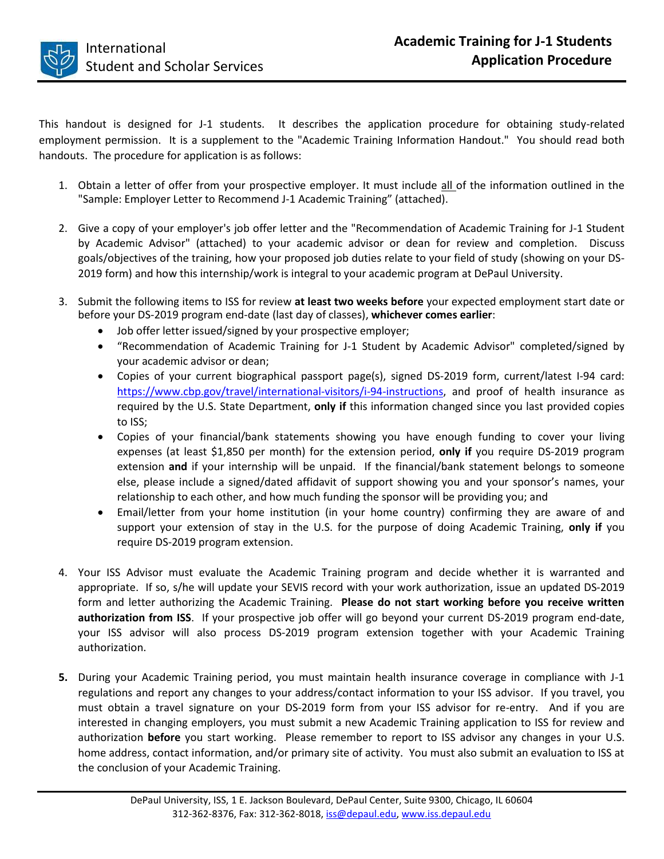

This handout is designed for J-1 students. It describes the application procedure for obtaining study-related employment permission. It is a supplement to the "Academic Training Information Handout." You should read both handouts. The procedure for application is as follows:

- 1. Obtain a letter of offer from your prospective employer. It must include all of the information outlined in the "Sample: Employer Letter to Recommend J-1 Academic Training" (attached).
- 2. Give a copy of your employer's job offer letter and the "Recommendation of Academic Training for J-1 Student by Academic Advisor" (attached) to your academic advisor or dean for review and completion. Discuss goals/objectives of the training, how your proposed job duties relate to your field of study (showing on your DS-2019 form) and how this internship/work is integral to your academic program at DePaul University.
- 3. Submit the following items to ISS for review **at least two weeks before** your expected employment start date or before your DS-2019 program end-date (last day of classes), **whichever comes earlier**:
	- Job offer letter issued/signed by your prospective employer;
	- "Recommendation of Academic Training for J-1 Student by Academic Advisor" completed/signed by your academic advisor or dean;
	- Copies of your current biographical passport page(s), signed DS-2019 form, current/latest I-94 card: [https://www.cbp.gov/travel/international-visitors/i-94-instructions,](https://www.cbp.gov/travel/international-visitors/i-94-instructions) and proof of health insurance as required by the U.S. State Department, **only if** this information changed since you last provided copies to ISS;
	- Copies of your financial/bank statements showing you have enough funding to cover your living expenses (at least \$1,850 per month) for the extension period, **only if** you require DS-2019 program extension **and** if your internship will be unpaid. If the financial/bank statement belongs to someone else, please include a signed/dated affidavit of support showing you and your sponsor's names, your relationship to each other, and how much funding the sponsor will be providing you; and
	- Email/letter from your home institution (in your home country) confirming they are aware of and support your extension of stay in the U.S. for the purpose of doing Academic Training, **only if** you require DS-2019 program extension.
- 4. Your ISS Advisor must evaluate the Academic Training program and decide whether it is warranted and appropriate. If so, s/he will update your SEVIS record with your work authorization, issue an updated DS-2019 form and letter authorizing the Academic Training. **Please do not start working before you receive written authorization from ISS**. If your prospective job offer will go beyond your current DS-2019 program end-date, your ISS advisor will also process DS-2019 program extension together with your Academic Training authorization.
- **5.** During your Academic Training period, you must maintain health insurance coverage in compliance with J-1 regulations and report any changes to your address/contact information to your ISS advisor. If you travel, you must obtain a travel signature on your DS-2019 form from your ISS advisor for re-entry. And if you are interested in changing employers, you must submit a new Academic Training application to ISS for review and authorization **before** you start working. Please remember to report to ISS advisor any changes in your U.S. home address, contact information, and/or primary site of activity. You must also submit an evaluation to ISS at the conclusion of your Academic Training.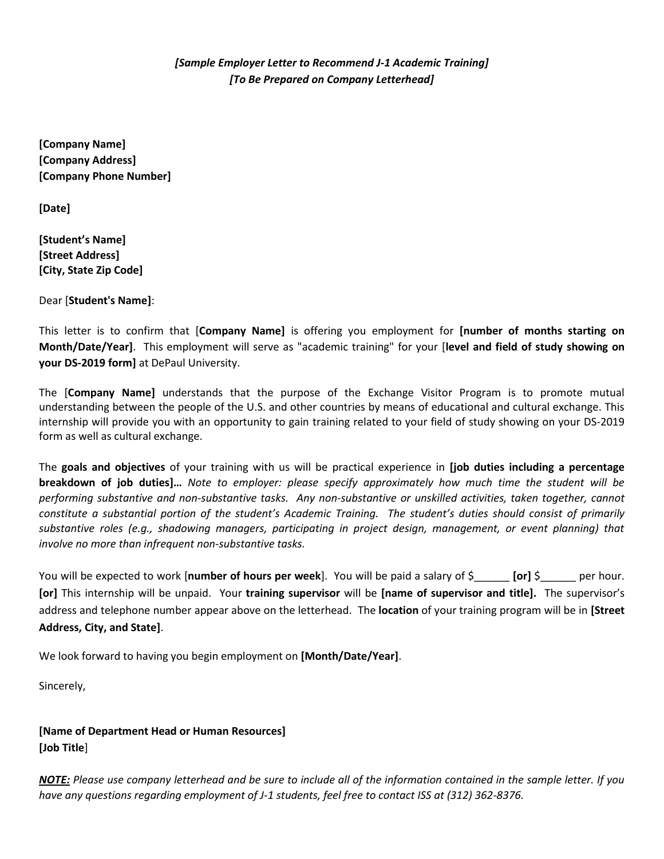*[Sample Employer Letter to Recommend J-1 Academic Training] [To Be Prepared on Company Letterhead]*

**[Company Name] [Company Address] [Company Phone Number]**

**[Date]**

**[Student's Name] [Street Address] [City, State Zip Code]**

Dear [**Student's Name]**:

This letter is to confirm that [**Company Name]** is offering you employment for **[number of months starting on Month/Date/Year]**. This employment will serve as "academic training" for your [**level and field of study showing on your DS-2019 form]** at DePaul University.

The [**Company Name]** understands that the purpose of the Exchange Visitor Program is to promote mutual understanding between the people of the U.S. and other countries by means of educational and cultural exchange. This internship will provide you with an opportunity to gain training related to your field of study showing on your DS-2019 form as well as cultural exchange.

The **goals and objectives** of your training with us will be practical experience in **[job duties including a percentage breakdown of job duties]…** *Note to employer: please specify approximately how much time the student will be performing substantive and non-substantive tasks. Any non-substantive or unskilled activities, taken together, cannot constitute a substantial portion of the student's Academic Training. The student's duties should consist of primarily substantive roles (e.g., shadowing managers, participating in project design, management, or event planning) that involve no more than infrequent non-substantive tasks.*

You will be expected to work [**number of hours per week**]. You will be paid a salary of \$\_\_\_\_\_\_ **[or]** \$\_\_\_\_\_\_ per hour. **[or]** This internship will be unpaid. Your **training supervisor** will be **[name of supervisor and title].** The supervisor's address and telephone number appear above on the letterhead. The **location** of your training program will be in **[Street Address, City, and State]**.

We look forward to having you begin employment on **[Month/Date/Year]**.

Sincerely,

**[Name of Department Head or Human Resources] [Job Title**]

*NOTE: Please use company letterhead and be sure to include all of the information contained in the sample letter. If you have any questions regarding employment of J-1 students, feel free to contact ISS at (312) 362-8376.*